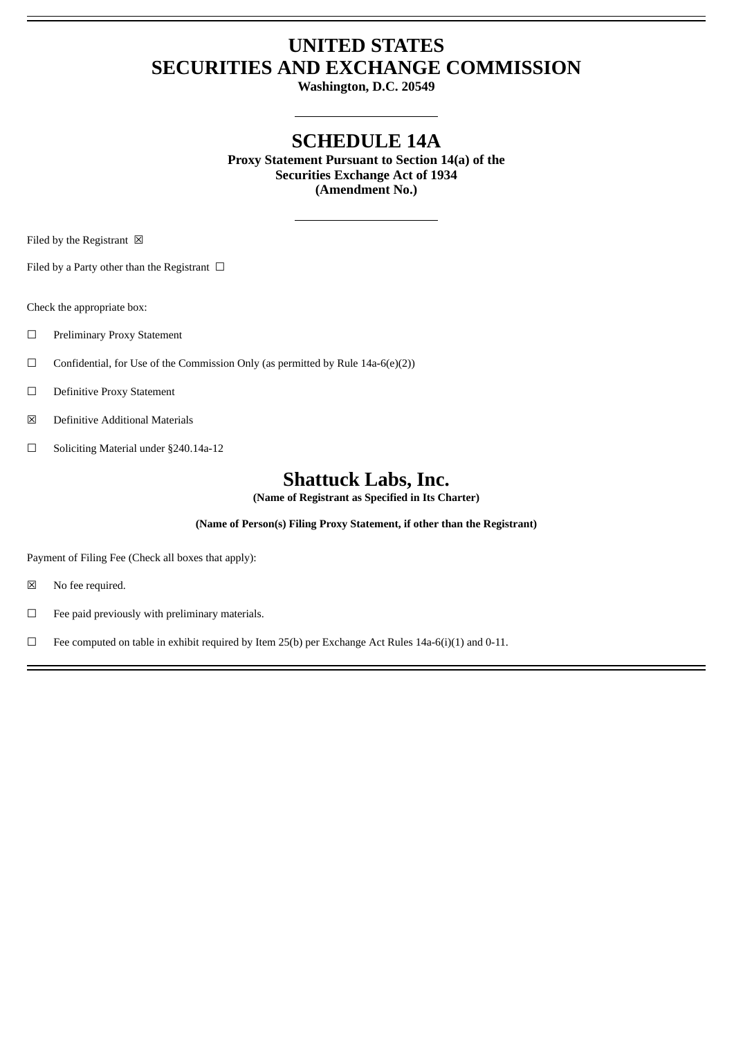# **UNITED STATES SECURITIES AND EXCHANGE COMMISSION**

**Washington, D.C. 20549**

## **SCHEDULE 14A**

**Proxy Statement Pursuant to Section 14(a) of the Securities Exchange Act of 1934 (Amendment No.)**

Filed by the Registrant  $\boxtimes$ 

Filed by a Party other than the Registrant  $\Box$ 

Check the appropriate box:

- ☐ Preliminary Proxy Statement
- $\Box$  Confidential, for Use of the Commission Only (as permitted by Rule 14a-6(e)(2))
- ☐ Definitive Proxy Statement
- ☒ Definitive Additional Materials
- ☐ Soliciting Material under §240.14a-12

## **Shattuck Labs, Inc.**

**(Name of Registrant as Specified in Its Charter)**

**(Name of Person(s) Filing Proxy Statement, if other than the Registrant)**

Payment of Filing Fee (Check all boxes that apply):

- ☒ No fee required.
- $\Box$  Fee paid previously with preliminary materials.

□ Fee computed on table in exhibit required by Item 25(b) per Exchange Act Rules 14a-6(i)(1) and 0-11.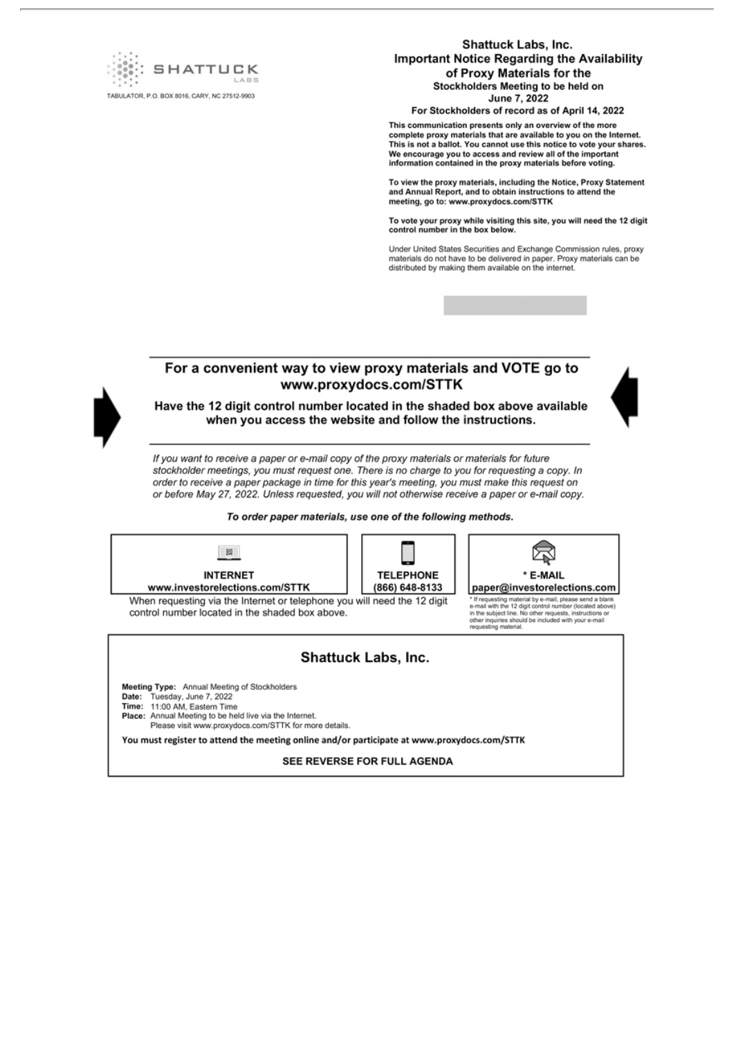

**Shattuck Labs, Inc. Important Notice Regarding the Availability** of Proxy Materials for the Stockholders Meeting to be held on June 7, 2022

For Stockholders of record as of April 14, 2022

This communication presents only an overview of the more complete proxy materials that are available to you on the Internet. This is not a ballot. You cannot use this notice to vote your shares. We encourage you to access and review all of the important<br>information contained in the proxy materials before voting.

To view the proxy materials, including the Notice, Proxy Statement and Annual Report, and to obtain instructions to attend the meeting, go to: www.proxydocs.com/STTK

To vote your proxy while visiting this site, you will need the 12 digit control number in the box below.

Under United States Securities and Exchange Commission rules, proxy materials do not have to be delivered in paper. Proxy materials can be distributed by making them available on the internet.

### For a convenient way to view proxy materials and VOTE go to www.proxydocs.com/STTK



Have the 12 digit control number located in the shaded box above available when you access the website and follow the instructions.

If you want to receive a paper or e-mail copy of the proxy materials or materials for future stockholder meetings, you must request one. There is no charge to you for requesting a copy. In order to receive a paper package in time for this year's meeting, you must make this request on or before May 27, 2022. Unless requested, you will not otherwise receive a paper or e-mail copy.

To order paper materials, use one of the following methods.



**TELEPHONE** (866) 648-8133

When requesting via the Internet or telephone you will need the 12 digit control number located in the shaded box above.



"If requesting material by e-mail, please send a blank<br>e-mail with the 12 digit control number (located above) in<br>the subject line. No other requests, instructions or<br>other inquiries should be included with your e-mail<br>req

#### Shattuck Labs, Inc.

Meeting Type: Annual Meeting of Stockholders

Date: Tuesday, June 7, 2022

Time: 11:00 AM, Eastern Time

Place: Annual Meeting to be held live via the Internet.

Please visit www.proxydocs.com/STTK for more details.

You must register to attend the meeting online and/or participate at www.proxydocs.com/STTK

SEE REVERSE FOR FULL AGENDA